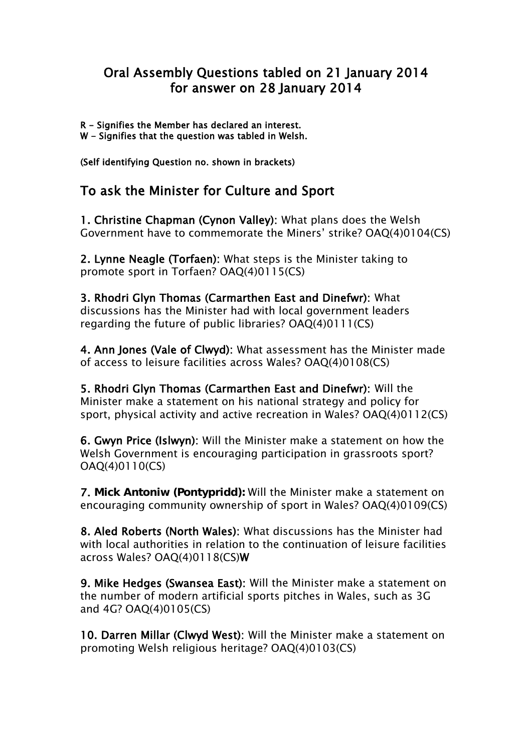## Oral Assembly Questions tabled on 21 January 2014 for answer on 28 January 2014

R - Signifies the Member has declared an interest.

W - Signifies that the question was tabled in Welsh.

(Self identifying Question no. shown in brackets)

## To ask the Minister for Culture and Sport

1. Christine Chapman (Cynon Valley): What plans does the Welsh Government have to commemorate the Miners' strike? OAQ(4)0104(CS)

2. Lynne Neagle (Torfaen): What steps is the Minister taking to promote sport in Torfaen? OAQ(4)0115(CS)

3. Rhodri Glyn Thomas (Carmarthen East and Dinefwr): What discussions has the Minister had with local government leaders regarding the future of public libraries? OAQ(4)0111(CS)

4. Ann Jones (Vale of Clwyd): What assessment has the Minister made of access to leisure facilities across Wales? OAQ(4)0108(CS)

5. Rhodri Glyn Thomas (Carmarthen East and Dinefwr): Will the Minister make a statement on his national strategy and policy for sport, physical activity and active recreation in Wales? OAQ(4)0112(CS)

6. Gwyn Price (Islwyn): Will the Minister make a statement on how the Welsh Government is encouraging participation in grassroots sport? OAQ(4)0110(CS)

7. **Mick Antoniw (Pontypridd):** Will the Minister make a statement on encouraging community ownership of sport in Wales? OAQ(4)0109(CS)

8. Aled Roberts (North Wales): What discussions has the Minister had with local authorities in relation to the continuation of leisure facilities across Wales? OAQ(4)0118(CS)W

9. Mike Hedges (Swansea East): Will the Minister make a statement on the number of modern artificial sports pitches in Wales, such as 3G and 4G? OAQ(4)0105(CS)

10. Darren Millar (Clwyd West): Will the Minister make a statement on promoting Welsh religious heritage? OAQ(4)0103(CS)